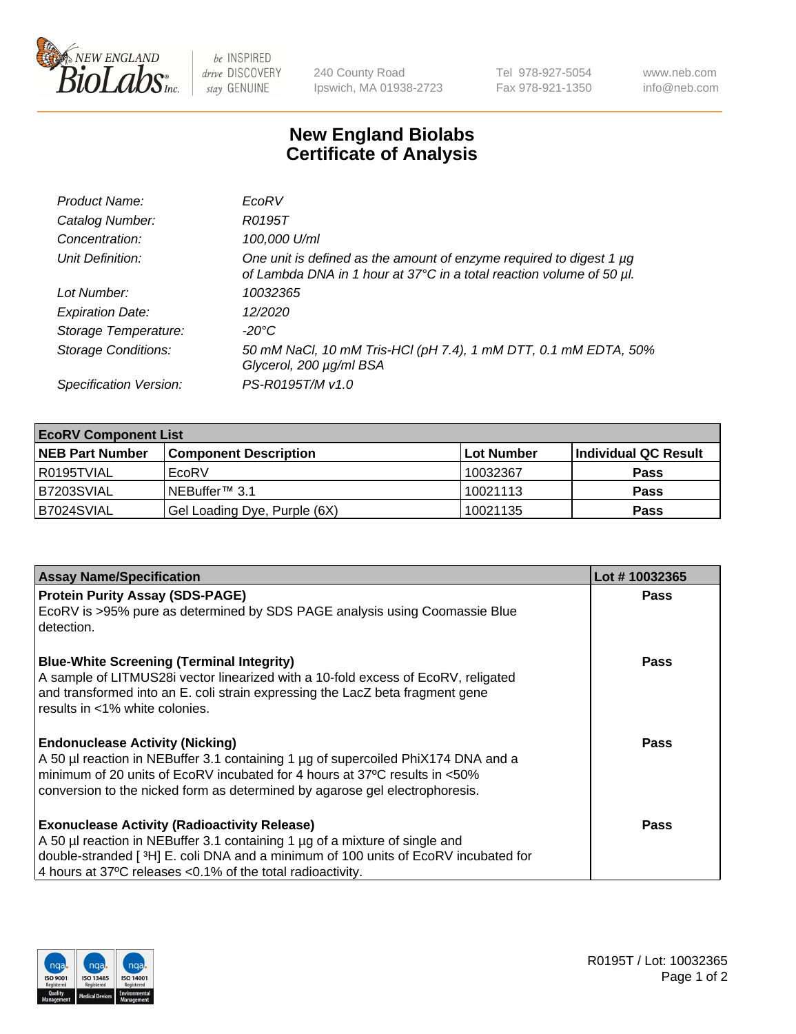

 $be$  INSPIRED drive DISCOVERY stay GENUINE

240 County Road Ipswich, MA 01938-2723 Tel 978-927-5054 Fax 978-921-1350 www.neb.com info@neb.com

## **New England Biolabs Certificate of Analysis**

| Product Name:              | EcoRV                                                                                                                                       |
|----------------------------|---------------------------------------------------------------------------------------------------------------------------------------------|
| Catalog Number:            | R0195T                                                                                                                                      |
| Concentration:             | 100,000 U/ml                                                                                                                                |
| Unit Definition:           | One unit is defined as the amount of enzyme required to digest 1 µg<br>of Lambda DNA in 1 hour at 37°C in a total reaction volume of 50 µl. |
| Lot Number:                | 10032365                                                                                                                                    |
| <b>Expiration Date:</b>    | 12/2020                                                                                                                                     |
| Storage Temperature:       | -20°C                                                                                                                                       |
| <b>Storage Conditions:</b> | 50 mM NaCl, 10 mM Tris-HCl (pH 7.4), 1 mM DTT, 0.1 mM EDTA, 50%<br>Glycerol, 200 µg/ml BSA                                                  |
| Specification Version:     | PS-R0195T/M v1.0                                                                                                                            |

| <b>EcoRV Component List</b> |                              |            |                      |  |  |
|-----------------------------|------------------------------|------------|----------------------|--|--|
| <b>NEB Part Number</b>      | <b>Component Description</b> | Lot Number | Individual QC Result |  |  |
| l R0195TVIAL                | EcoRV                        | 10032367   | <b>Pass</b>          |  |  |
| B7203SVIAL                  | INEBuffer™ 3.1               | 10021113   | <b>Pass</b>          |  |  |
| B7024SVIAL                  | Gel Loading Dye, Purple (6X) | 10021135   | <b>Pass</b>          |  |  |

| <b>Assay Name/Specification</b>                                                                                                                                                                                                                                                                      | Lot #10032365 |
|------------------------------------------------------------------------------------------------------------------------------------------------------------------------------------------------------------------------------------------------------------------------------------------------------|---------------|
| <b>Protein Purity Assay (SDS-PAGE)</b><br>EcoRV is >95% pure as determined by SDS PAGE analysis using Coomassie Blue<br>detection.                                                                                                                                                                   | <b>Pass</b>   |
| <b>Blue-White Screening (Terminal Integrity)</b><br>A sample of LITMUS28i vector linearized with a 10-fold excess of EcoRV, religated<br>and transformed into an E. coli strain expressing the LacZ beta fragment gene<br>results in <1% white colonies.                                             | <b>Pass</b>   |
| <b>Endonuclease Activity (Nicking)</b><br>A 50 µl reaction in NEBuffer 3.1 containing 1 µg of supercoiled PhiX174 DNA and a<br>minimum of 20 units of EcoRV incubated for 4 hours at 37°C results in <50%<br>conversion to the nicked form as determined by agarose gel electrophoresis.             | Pass          |
| <b>Exonuclease Activity (Radioactivity Release)</b><br>A 50 µl reaction in NEBuffer 3.1 containing 1 µg of a mixture of single and<br>double-stranded [ <sup>3</sup> H] E. coli DNA and a minimum of 100 units of EcoRV incubated for<br>4 hours at 37°C releases < 0.1% of the total radioactivity. | Pass          |